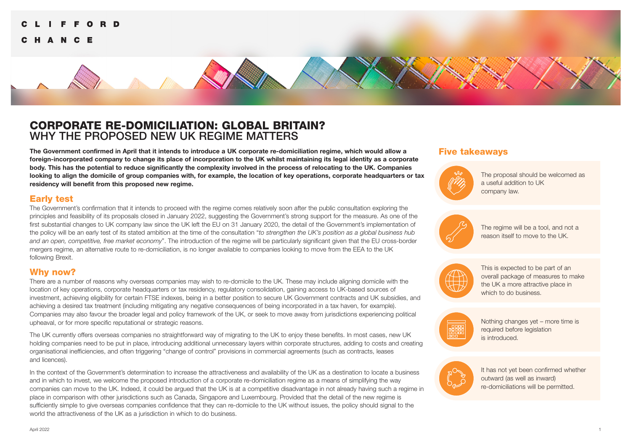#### CORPORATE RE-DOMICILIATION: GLOBAL BRITAIN? HANGE

# CORPORATE RE-DOMICILIATION: GLOBAL BRITAIN? WHY THE PROPOSED NEW UK REGIME MATTERS

**The Government confirmed in April that it intends to introduce a UK corporate re-domiciliation regime, which would allow a foreign-incorporated company to change its place of incorporation to the UK whilst maintaining its legal identity as a corporate body. This has the potential to reduce significantly the complexity involved in the process of relocating to the UK. Companies looking to align the domicile of group companies with, for example, the location of key operations, corporate headquarters or tax residency will benefit from this proposed new regime.**

#### Early test

The Government's confirmation that it intends to proceed with the regime comes relatively soon after the public consultation exploring the principles and feasibility of its proposals closed in January 2022, suggesting the Government's strong support for the measure. As one of the first substantial changes to UK company law since the UK left the EU on 31 January 2020, the detail of the Government's implementation of the policy will be an early test of its stated ambition at the time of the consultation "*to strengthen the UK's position as a global business hub and an open, competitive, free market economy*". The introduction of the regime will be particularly significant given that the EU cross-border mergers regime, an alternative route to re-domiciliation, is no longer available to companies looking to move from the EEA to the UK following Brexit.

### Why now?

There are a number of reasons why overseas companies may wish to re-domicile to the UK. These may include aligning domicile with the location of key operations, corporate headquarters or tax residency, regulatory consolidation, gaining access to UK-based sources of investment, achieving eligibility for certain FTSE indexes, being in a better position to secure UK Government contracts and UK subsidies, and achieving a desired tax treatment (including mitigating any negative consequences of being incorporated in a tax haven, for example). Companies may also favour the broader legal and policy framework of the UK, or seek to move away from jurisdictions experiencing political upheaval, or for more specific reputational or strategic reasons.

The UK currently offers overseas companies no straightforward way of migrating to the UK to enjoy these benefits. In most cases, new UK holding companies need to be put in place, introducing additional unnecessary layers within corporate structures, adding to costs and creating organisational inefficiencies, and often triggering "change of control" provisions in commercial agreements (such as contracts, leases and licences).

In the context of the Government's determination to increase the attractiveness and availability of the UK as a destination to locate a business and in which to invest, we welcome the proposed introduction of a corporate re-domiciliation regime as a means of simplifying the way companies can move to the UK. Indeed, it could be argued that the UK is at a competitive disadvantage in not already having such a regime in place in comparison with other jurisdictions such as Canada, Singapore and Luxembourg. Provided that the detail of the new regime is sufficiently simple to give overseas companies confidence that they can re-domicile to the UK without issues, the policy should signal to the world the attractiveness of the UK as a jurisdiction in which to do business.

### Five takeaways



The proposal should be welcomed as a useful addition to UK company law.



The regime will be a tool, and not a reason itself to move to the UK.



This is expected to be part of an overall package of measures to make the UK a more attractive place in which to do business.



Nothing changes yet – more time is required before legislation is introduced.



It has not yet been confirmed whether outward (as well as inward) re-domiciliations will be permitted.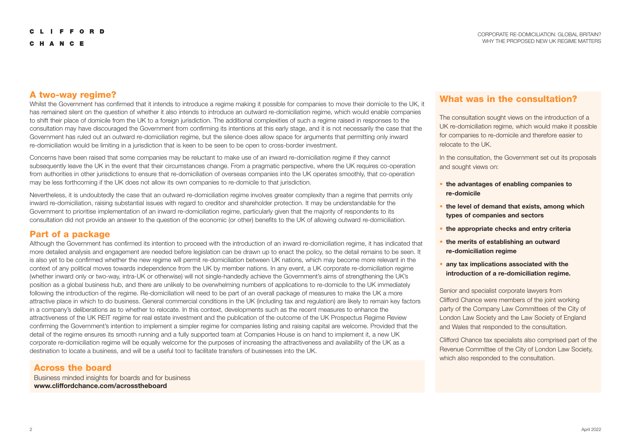#### A two-way regime?

Whilst the Government has confirmed that it intends to introduce a regime making it possible for companies to move their domicile to the UK, it has remained silent on the question of whether it also intends to introduce an outward re-domiciliation regime, which would enable companies to shift their place of domicile from the UK to a foreign jurisdiction. The additional complexities of such a regime raised in responses to the consultation may have discouraged the Government from confirming its intentions at this early stage, and it is not necessarily the case that the Government has ruled out an outward re-domiciliation regime, but the silence does allow space for arguments that permitting only inward re-domiciliation would be limiting in a jurisdiction that is keen to be seen to be open to cross-border investment.

Concerns have been raised that some companies may be reluctant to make use of an inward re-domiciliation regime if they cannot subsequently leave the UK in the event that their circumstances change. From a pragmatic perspective, where the UK requires co-operation from authorities in other jurisdictions to ensure that re-domiciliation of overseas companies into the UK operates smoothly, that co-operation may be less forthcoming if the UK does not allow its own companies to re-domicile to that jurisdiction.

Nevertheless, it is undoubtedly the case that an outward re-domiciliation regime involves greater complexity than a regime that permits only inward re-domiciliation, raising substantial issues with regard to creditor and shareholder protection. It may be understandable for the Government to prioritise implementation of an inward re-domiciliation regime, particularly given that the majority of respondents to its consultation did not provide an answer to the question of the economic (or other) benefits to the UK of allowing outward re-domiciliation.

### Part of a package

Although the Government has confirmed its intention to proceed with the introduction of an inward re-domiciliation regime, it has indicated that more detailed analysis and engagement are needed before legislation can be drawn up to enact the policy, so the detail remains to be seen. It is also yet to be confirmed whether the new regime will permit re-domiciliation between UK nations, which may become more relevant in the context of any political moves towards independence from the UK by member nations. In any event, a UK corporate re-domiciliation regime (whether inward only or two-way, intra-UK or otherwise) will not single-handedly achieve the Government's aims of strengthening the UK's position as a global business hub, and there are unlikely to be overwhelming numbers of applications to re-domicile to the UK immediately following the introduction of the regime. Re-domiciliation will need to be part of an overall package of measures to make the UK a more attractive place in which to do business. General commercial conditions in the UK (including tax and regulation) are likely to remain key factors in a company's deliberations as to whether to relocate. In this context, developments such as the recent measures to enhance the attractiveness of the UK REIT regime for real estate investment and the publication of the outcome of the UK Prospectus Regime Review confirming the Government's intention to implement a simpler regime for companies listing and raising capital are welcome. Provided that the detail of the regime ensures its smooth running and a fully supported team at Companies House is on hand to implement it, a new UK corporate re-domiciliation regime will be equally welcome for the purposes of increasing the attractiveness and availability of the UK as a destination to locate a business, and will be a useful tool to facilitate transfers of businesses into the UK.

#### Across the board

Business minded insights for boards and for business **[www.cliffordchance.com/acrosstheboard](https://www.cliffordchance.com/insights/thought_leadership/across-the-board.html)** 

## What was in the consultation?

The consultation sought views on the introduction of a UK re-domiciliation regime, which would make it possible for companies to re-domicile and therefore easier to relocate to the UK.

In the consultation, the Government set out its proposals and sought views on:

- the advantages of enabling companies to re-domicile
- the level of demand that exists, among which types of companies and sectors
- the appropriate checks and entry criteria
- the merits of establishing an outward re-domiciliation regime
- any tax implications associated with the introduction of a re-domiciliation regime.

Senior and specialist corporate lawyers from Clifford Chance were members of the joint working party of the Company Law Committees of the City of London Law Society and the Law Society of England and Wales that responded to the consultation.

Clifford Chance tax specialists also comprised part of the Revenue Committee of the City of London Law Society, which also responded to the consultation.